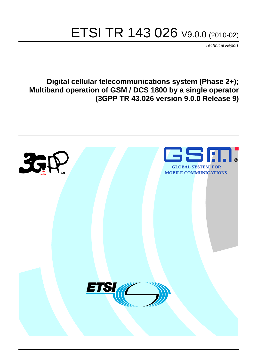# ETSI TR 143 026 V9.0.0 (2010-02)

*Technical Report*

**Digital cellular telecommunications system (Phase 2+); Multiband operation of GSM / DCS 1800 by a single operator (3GPP TR 43.026 version 9.0.0 Release 9)**

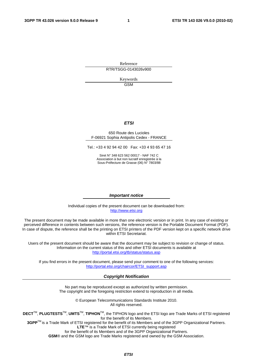Reference RTR/TSGG-0143026v900

> Keywords GSM

#### *ETSI*

#### 650 Route des Lucioles F-06921 Sophia Antipolis Cedex - FRANCE

Tel.: +33 4 92 94 42 00 Fax: +33 4 93 65 47 16

Siret N° 348 623 562 00017 - NAF 742 C Association à but non lucratif enregistrée à la Sous-Préfecture de Grasse (06) N° 7803/88

#### *Important notice*

Individual copies of the present document can be downloaded from: [http://www.etsi.org](http://www.etsi.org/)

The present document may be made available in more than one electronic version or in print. In any case of existing or perceived difference in contents between such versions, the reference version is the Portable Document Format (PDF). In case of dispute, the reference shall be the printing on ETSI printers of the PDF version kept on a specific network drive within ETSI Secretariat.

Users of the present document should be aware that the document may be subject to revision or change of status. Information on the current status of this and other ETSI documents is available at <http://portal.etsi.org/tb/status/status.asp>

If you find errors in the present document, please send your comment to one of the following services: [http://portal.etsi.org/chaircor/ETSI\\_support.asp](http://portal.etsi.org/chaircor/ETSI_support.asp)

#### *Copyright Notification*

No part may be reproduced except as authorized by written permission. The copyright and the foregoing restriction extend to reproduction in all media.

> © European Telecommunications Standards Institute 2010. All rights reserved.

**DECT**TM, **PLUGTESTS**TM, **UMTS**TM, **TIPHON**TM, the TIPHON logo and the ETSI logo are Trade Marks of ETSI registered for the benefit of its Members.

**3GPP**TM is a Trade Mark of ETSI registered for the benefit of its Members and of the 3GPP Organizational Partners. **LTE**™ is a Trade Mark of ETSI currently being registered

for the benefit of its Members and of the 3GPP Organizational Partners.

**GSM**® and the GSM logo are Trade Marks registered and owned by the GSM Association.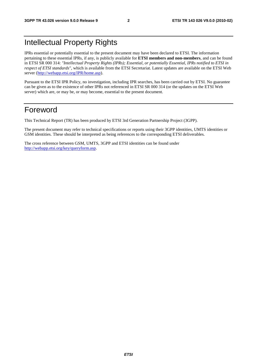# Intellectual Property Rights

IPRs essential or potentially essential to the present document may have been declared to ETSI. The information pertaining to these essential IPRs, if any, is publicly available for **ETSI members and non-members**, and can be found in ETSI SR 000 314: *"Intellectual Property Rights (IPRs); Essential, or potentially Essential, IPRs notified to ETSI in respect of ETSI standards"*, which is available from the ETSI Secretariat. Latest updates are available on the ETSI Web server ([http://webapp.etsi.org/IPR/home.asp\)](http://webapp.etsi.org/IPR/home.asp).

Pursuant to the ETSI IPR Policy, no investigation, including IPR searches, has been carried out by ETSI. No guarantee can be given as to the existence of other IPRs not referenced in ETSI SR 000 314 (or the updates on the ETSI Web server) which are, or may be, or may become, essential to the present document.

# Foreword

This Technical Report (TR) has been produced by ETSI 3rd Generation Partnership Project (3GPP).

The present document may refer to technical specifications or reports using their 3GPP identities, UMTS identities or GSM identities. These should be interpreted as being references to the corresponding ETSI deliverables.

The cross reference between GSM, UMTS, 3GPP and ETSI identities can be found under [http://webapp.etsi.org/key/queryform.asp.](http://webapp.etsi.org/key/queryform.asp)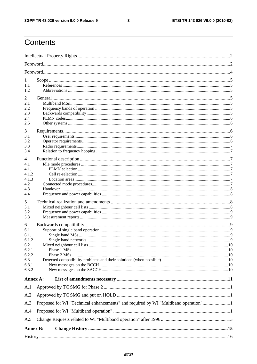$\mathbf{3}$ 

# Contents

| 1<br>1.1<br>1.2                                                              |                                                                                     |  |  |  |  |  |
|------------------------------------------------------------------------------|-------------------------------------------------------------------------------------|--|--|--|--|--|
| 2<br>2.1<br>2.2<br>2.3<br>2.4<br>2.5                                         |                                                                                     |  |  |  |  |  |
| 3<br>3.1<br>3.2<br>3.3<br>3.4                                                |                                                                                     |  |  |  |  |  |
| 4<br>4.1<br>4.1.1<br>4.1.2<br>4.1.3<br>4.2<br>4.3<br>4.4                     |                                                                                     |  |  |  |  |  |
| 5<br>5.1<br>5.2<br>5.3                                                       |                                                                                     |  |  |  |  |  |
| 6<br>6.1<br>6.1.1<br>6.1.2<br>6.2<br>6.2.1<br>6.2.2<br>6.3<br>6.3.1<br>6.3.2 |                                                                                     |  |  |  |  |  |
| Annex A:                                                                     |                                                                                     |  |  |  |  |  |
| A.1                                                                          |                                                                                     |  |  |  |  |  |
| A.2                                                                          |                                                                                     |  |  |  |  |  |
| A.3                                                                          | Proposed for WI "Technical enhancements" and required by WI "Multiband operation"11 |  |  |  |  |  |
| A.4<br>A.5                                                                   |                                                                                     |  |  |  |  |  |
| <b>Annex B:</b>                                                              |                                                                                     |  |  |  |  |  |
|                                                                              |                                                                                     |  |  |  |  |  |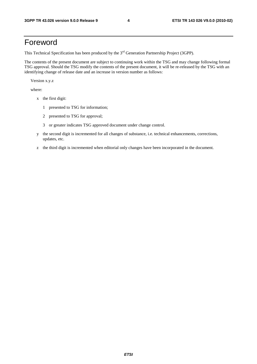# Foreword

This Technical Specification has been produced by the 3<sup>rd</sup> Generation Partnership Project (3GPP).

The contents of the present document are subject to continuing work within the TSG and may change following formal TSG approval. Should the TSG modify the contents of the present document, it will be re-released by the TSG with an identifying change of release date and an increase in version number as follows:

Version x.y.z

where:

- x the first digit:
	- 1 presented to TSG for information;
	- 2 presented to TSG for approval;
	- 3 or greater indicates TSG approved document under change control.
- y the second digit is incremented for all changes of substance, i.e. technical enhancements, corrections, updates, etc.
- z the third digit is incremented when editorial only changes have been incorporated in the document.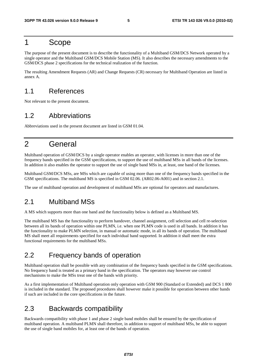# 1 Scope

The purpose of the present document is to describe the functionality of a Multiband GSM/DCS Network operated by a single operator and the Multiband GSM/DCS Mobile Station (MS). It also describes the necessary amendments to the GSM/DCS phase 2 specifications for the technical realization of the function.

The resulting Amendment Requests (AR) and Change Requests (CR) necessary for Multiband Operation are listed in annex A.

# 1.1 References

Not relevant to the present document.

# 1.2 Abbreviations

Abbreviations used in the present document are listed in GSM 01.04.

# 2 General

Multiband operation of GSM/DCS by a single operator enables an operator, with licenses in more than one of the frequency bands specified in the GSM specifications, to support the use of multiband MSs in all bands of the licenses. In addition it also enables the operator to support the use of single band MSs in, at least, one band of the licenses.

Multiband GSM/DCS MSs, are MSs which are capable of using more than one of the frequency bands specified in the GSM specifications. The multiband MS is specified in GSM 02.06. (AR02.06-A001) and in section 2.1.

The use of multiband operation and development of multiband MSs are optional for operators and manufactures.

### 2.1 Multiband MSs

A MS which supports more than one band and the functionality below is defined as a Multiband MS.

The multiband MS has the functionality to perform handover, channel assignment, cell selection and cell re-selection between all its bands of operation within one PLMN, i.e. when one PLMN code is used in all bands. In addition it has the functionality to make PLMN selection, in manual or automatic mode, in all its bands of operation. The multiband MS shall meet all requirements specified for each individual band supported. In addition it shall meet the extra functional requirements for the multiband MSs.

# 2.2 Frequency bands of operation

Multiband operation shall be possible with any combination of the frequency bands specified in the GSM specifications. No frequency band is treated as a primary band in the specification. The operators may however use control mechanisms to make the MSs treat one of the bands with priority.

As a first implementation of Multiband operation only operation with GSM 900 (Standard or Extended) and DCS 1 800 is included in the standard. The proposed procedures shall however make it possible for operation between other bands if such are included in the core specifications in the future.

# 2.3 Backwards compatibility

Backwards compatibility with phase 1 and phase 2 single band mobiles shall be ensured by the specification of multiband operation. A multiband PLMN shall therefore, in addition to support of multiband MSs, be able to support the use of single band mobiles for, at least one of the bands of operation.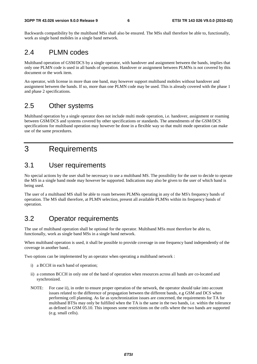Backwards compatibility by the multiband MSs shall also be ensured. The MSs shall therefore be able to, functionally, work as single band mobiles in a single band network.

# 2.4 PLMN codes

Multiband operation of GSM/DCS by a single operator, with handover and assignment between the bands, implies that only one PLMN code is used in all bands of operation. Handover or assignment between PLMNs is not covered by this document or the work item.

An operator, with license in more than one band, may however support multiband mobiles without handover and assignment between the bands. If so, more than one PLMN code may be used. This is already covered with the phase 1 and phase 2 specifications.

# 2.5 Other systems

Multiband operation by a single operator does not include multi mode operation, i.e. handover, assignment or roaming between GSM/DCS and systems covered by other specifications or standards. The amendments of the GSM/DCS specifications for multiband operation may however be done in a flexible way so that multi mode operation can make use of the same procedures.

# 3 Requirements

# 3.1 User requirements

No special actions by the user shall be necessary to use a multiband MS. The possibility for the user to decide to operate the MS in a single band mode may however be supported. Indications may also be given to the user of which band is being used.

The user of a multiband MS shall be able to roam between PLMNs operating in any of the MS's frequency bands of operation. The MS shall therefore, at PLMN selection, present all available PLMNs within its frequency bands of operation.

# 3.2 Operator requirements

The use of multiband operation shall be optional for the operator. Multiband MSs must therefore be able to, functionally, work as single band MSs in a single band network.

When multiband operation is used, it shall be possible to provide coverage in one frequency band independently of the coverage in another band..

Two options can be implemented by an operator when operating a multiband network :

- i) a BCCH in each band of operation;
- ii) a common BCCH in only one of the band of operation when resources across all bands are co-located and synchronized.
- NOTE: For case ii), in order to ensure proper operation of the network, the operator should take into account issues related to the difference of propagation between the different bands, e.g GSM and DCS when performing cell planning. As far as synchronization issues are concerned, the requirements for TA for multiband BTSs may only be fulfilled when the TA is the same in the two bands, i.e. within the tolerance as defined in GSM 05.10. This imposes some restrictions on the cells where the two bands are supported (e.g. small cells).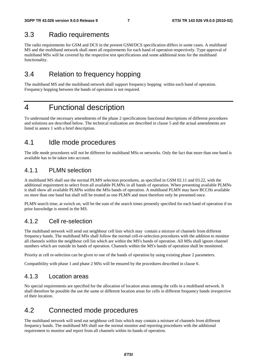### 3.3 Radio requirements

The radio requirements for GSM and DCS in the present GSM/DCS specification differs in some cases. A multiband MS and the multiband network shall meet all requirements for each band of operation respectively. Type approval of multiband MSs will be covered by the respective test specifications and some additional tests for the multiband functionality.

# 3.4 Relation to frequency hopping

The multiband MS and the multiband network shall support frequency hopping within each band of operation. Frequency hopping between the bands of operation is not required.

# 4 Functional description

To understand the necessary amendments of the phase 2 specifications functional descriptions of different procedures and solutions are described below. The technical realization are described in clause 5 and the actual amendments are listed in annex 1 with a brief description.

# 4.1 Idle mode procedures

The idle mode procedures will not be different for multiband MSs or networks. Only the fact that more than one band is available has to be taken into account.

### 4.1.1 PLMN selection

A multiband MS shall use the normal PLMN selection procedures, as specified in GSM 02.11 and 03.22, with the additional requirement to select from all available PLMNs in all bands of operation. When presenting available PLMNs it shall show all available PLMNs within the MSs bands of operation. A multiband PLMN may have BCCHs available on more than one band but shall still be treated as one PLMN and must therefore only be presented once.

PLMN search time, at switch on, will be the sum of the search times presently specified for each band of operation if no prior knowledge is stored in the MS.

### 4.1.2 Cell re-selection

The multiband network will send out neighbour cell lists which may contain a mixture of channels from different frequency bands. The multiband MSs shall follow the normal cell-re-selection procedures with the addition to monitor all channels within the neighbour cell list which are within the MS's bands of operation. All MSs shall ignore channel numbers which are outside its bands of operation. Channels within the MS's bands of operation shall be monitored.

Priority at cell re-selection can be given to one of the bands of operation by using existing phase 2 parameters.

Compatibility with phase 1 and phase 2 MSs will be ensured by the procedures described in clause 6.

### 4.1.3 Location areas

No special requirements are specified for the allocation of location areas among the cells in a multiband network. It shall therefore be possible the use the same or different location areas for cells in different frequency bands irrespective of their location.

# 4.2 Connected mode procedures

The multiband network will send out neighbour cell lists which may contain a mixture of channels from different frequency bands. The multiband MS shall use the normal monitor and reporting procedures with the additional requirement to monitor and report from all channels within its bands of operation.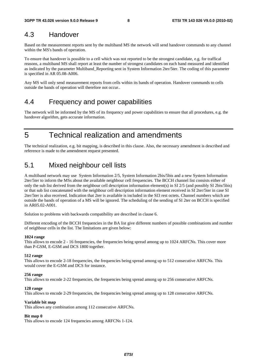# 4.3 Handover

Based on the measurement reports sent by the multiband MS the network will send handover commands to any channel within the MS's bands of operation.

To ensure that handover is possible to a cell which was not reported to be the strongest candidate, e.g. for traffical reasons, a multiband MS shall report at least the number of strongest candidates on each band measured and identified as indicated by the parameter Multiband\_Reporting sent in System Information 2ter/5ter. The coding of this parameter is specified in AR 05.08-A006.

Any MS will only send measurement reports from cells within its bands of operation. Handover commands to cells outside the bands of operation will therefore not occur..

# 4.4 Frequency and power capabilities

The network will be informed by the MS of its frequency and power capabilities to ensure that all procedures, e.g. the handover algorithm, gets accurate information.

5 Technical realization and amendments

The technical realization, e.g. bit mapping, is described in this clause. Also, the necessary amendment is described and reference is made to the amendment request presented.

# 5.1 Mixed neighbour cell lists

A multiband network may use System Information 2/5, System Information 2bis/5bis and a new System Information 2ter/5ter to inform the MSs about the available neighbour cell frequencies. The BCCH channel list consists either of only the sub list derived from the neighbour cell description information element(s) in SI 2/5 (and possibly SI 2bis/5bis) or that sub list concatenated with the neighbour cell description information element received in SI 2ter/5ter in case SI 2ter/5ter is also received. Indication that 2ter is available is included in the SI3 rest octets. Channel numbers which are outside the bands of operation of a MS will be ignored. The scheduling of the sending of SI 2ter on BCCH is specified in AR05.02-A001.

Solution to problems with backwards compatibility are described in clause 6.

Different encoding of the BCCH frequencies in the BA list give different numbers of possible combinations and number of neighbour cells in the list. The limitations are given below:

#### **1024 range**

This allows to encode 2 - 16 frequencies, the frequencies being spread among up to 1024 ARFCNs. This cover more than P-GSM, E-GSM and DCS 1800 together.

#### **512 range**

This allows to encode 2-18 frequencies, the frequencies being spread among up to 512 consecutive ARFCNs. This would cover the E-GSM and DCS for instance.

#### **256 range**

This allows to encode 2-22 frequencies, the frequencies being spread among up to 256 consecutive ARFCNs.

#### **128 range**

This allows to encode 2-29 frequencies, the frequencies being spread among up to 128 consecutive ARFCNs.

#### **Variable bit map**

This allows any combination among 112 consecutive ARFCNs.

#### **Bit map 0**

This allows to encode 124 frequencies among ARFCNs 1-124.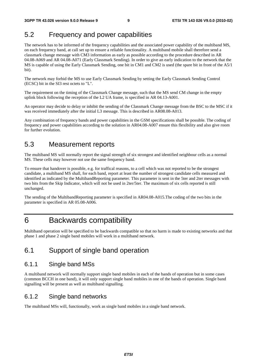# 5.2 Frequency and power capabilities

The network has to be informed of the frequency capabilities and the associated power capability of the multiband MS, on each frequency band, at call set up to ensure a reliable functionality. A multiband mobile shall therefore send a classmark change message with CM3 information as early as possible according to the procedure described in AR 04.08-A069 and AR 04.08-A071 (Early Classmark Sending)*.* In order to give an early indication to the network that the MS is capable of using the Early Classmark Sending, one bit in CM1 and CM2 is used (the spare bit in front of the A5/1 bit).

The network may forbid the MS to use Early Classmark Sending by setting the Early Classmark Sending Control (ECSC) bit in the SI3 rest octets to "L".

The requirement on the timing of the Classmark Change message, such that the MS send CM change in the empty uplink block following the reception of the L2 UA frame, is specified in AR 04.13-A001.

An operator may decide to delay or inhibit the sending of the Classmark Change message from the BSC to the MSC if it was received immediately after the initial L3 message. This is described in AR08.08-A013.

Any combination of frequency bands and power capabilities in the GSM specifications shall be possible. The coding of frequency and power capabilities according to the solution in AR04.08-A007 ensure this flexibility and also give room for further evolution.

### 5.3 Measurement reports

The multiband MS will normally report the signal strength of six strongest and identified neighbour cells as a normal MS. These cells may however not use the same frequency band.

To ensure that handover is possible, e.g. for traffical reasons, to a cell which was not reported to be the strongest candidate, a multiband MS shall, for each band, report at least the number of strongest candidate cells measured and identified as indicated by the MultibandReporting parameter. This parameter is sent in the 5ter and 2ter messages with two bits from the Skip Indicator, which will not be used in 2ter/5ter. The maximum of six cells reported is still unchanged.

The sending of the MultibandReporting parameter is specified in AR04.08-A015.The coding of the two bits in the parameter is specified in AR 05.08-A006.

# 6 Backwards compatibility

Multiband operation will be specified to be backwards compatible so that no harm is made to existing networks and that phase 1 and phase 2 single band mobiles will work in a multiband network.

# 6.1 Support of single band operation

### 6.1.1 Single band MSs

A multiband network will normally support single band mobiles in each of the bands of operation but in some cases (common BCCH in one band), it will only support single band mobiles in one of the bands of operation. Single band signalling will be present as well as multiband signalling.

### 6.1.2 Single band networks

The multiband MSs will, functionally, work as single band mobiles in a single band network.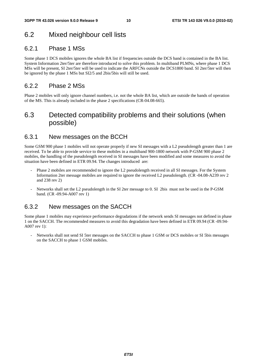# 6.2 Mixed neighbour cell lists

### 6.2.1 Phase 1 MSs

Some phase 1 DCS mobiles ignores the whole BA list if frequencies outside the DCS band is contained in the BA list. System Information 2ter/5ter are therefore introduced to solve this problem. In multiband PLMNs, where phase 1 DCS MSs will be present, SI 2ter/5ter will be used to indicate the ARFCNs outside the DCS1800 band. SI 2ter/5ter will then be ignored by the phase 1 MSs but SI2/5 and 2bis/5bis will still be used.

### 6.2.2 Phase 2 MSs

Phase 2 mobiles will only ignore channel numbers, i.e. not the whole BA list, which are outside the bands of operation of the MS. This is already included in the phase 2 specifications (CR-04.08-665).

# 6.3 Detected compatibility problems and their solutions (when possible)

### 6.3.1 New messages on the BCCH

Some GSM 900 phase 1 mobiles will not operate properly if new SI messages with a L2 pseudolength greater than 1 are received. To be able to provide service to these mobiles in a multiband 900-1800 network with P-GSM 900 phase 2 mobiles, the handling of the pseudolength received in SI messages have been modified and some measures to avoid the situation have been defined in ETR 09.94. The changes introduced are:

- Phase 2 mobiles are recommended to ignore the L2 pseudolength received in all SI messages. For the System Information 2ter message mobiles are required to ignore the received L2 pseudolength. (CR -04.08-A239 rev 2 and 238 rev 2)
- Networks shall set the L2 pseudolength in the SI 2ter message to 0. SI 2bis must not be used in the P-GSM band. (CR -09.94-A007 rev 1)

### 6.3.2 New messages on the SACCH

Some phase 1 mobiles may experience performance degradations if the network sends SI messages not defined in phase 1 on the SACCH. The recommended measures to avoid this degradation have been defined in ETR 09.94 (CR -09.94- A007 rev 1):

- Networks shall not send SI 5ter messages on the SACCH to phase 1 GSM or DCS mobiles or SI 5bis messages on the SACCH to phase 1 GSM mobiles.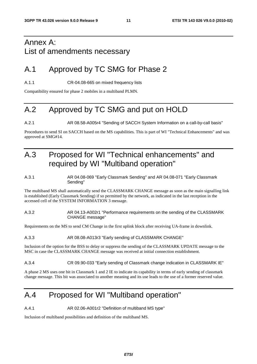# Annex A: List of amendments necessary

# A.1 Approved by TC SMG for Phase 2

A.1.1 CR-04.08-665 on mixed frequency lists

Compatibility ensured for phase 2 mobiles in a multiband PLMN.

# A.2 Approved by TC SMG and put on HOLD

A.2.1 AR 08.58-A005r4 "Sending of SACCH System Information on a call-by-call basis"

Procedures to send SI on SACCH based on the MS capabilities. This is part of WI "Technical Enhancements" and was approved at SMG#14.

# A.3 Proposed for WI "Technical enhancements" and required by WI "Multiband operation"

#### A.3.1 AR 04.08-069 "Early Classmark Sending" and AR 04.08-071 "Early Classmark Sending"

The multiband MS shall automatically send the CLASSMARK CHANGE message as soon as the main signalling link is established (Early Classmark Sending) if so permitted by the network, as indicated in the last reception in the accessed cell of the SYSTEM INFORMATION 3 message.

#### A.3.2 AR 04.13-A002r1 "Performance requirements on the sending of the CLASSMARK CHANGE message"

Requirements on the MS to send CM Change in the first uplink block after receiving UA-frame in downlink.

#### A.3.3 AR 08.08-A013r3 "Early sending of CLASSMARK CHANGE"

Inclusion of the option for the BSS to delay or suppress the sending of the CLASSMARK UPDATE message to the MSC in case the CLASSMARK CHANGE message was received at initial connection establishment.

#### A.3.4 CR 09.90-033 "Early sending of Classmark change indication in CLASSMARK IE"

A phase 2 MS uses one bit in Classmark 1 and 2 IE to indicate its capability in terms of early sending of classmark change message. This bit was associated to another meaning and its use leads to the use of a former reserved value.

# A.4 Proposed for WI "Multiband operation"

A.4.1 AR 02.06-A001r2 "Definition of multiband MS type"

Inclusion of multiband possibilities and definition of the multiband MS.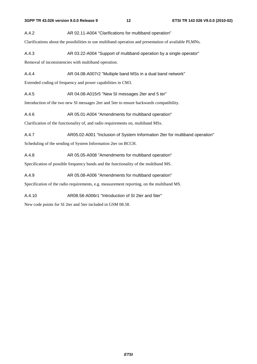A.4.2 AR 02.11-A004 "Clarifications for multiband operation"

Clarifications about the possibilities to use multiband operation and presentation of available PLMNs.

A.4.3 AR 03.22-A004 "Support of multiband operation by a single operator"

Removal of inconsistencies with multiband operation.

A.4.4 **AR 04.08-A007r2** "Multiple band MSs in a dual band network"

Extended coding of frequency and power capabilities in CM3.

A.4.5 AR 04.08-A015r5 "New SI messages 2ter and 5 ter"

Introduction of the two new SI messages 2ter and 5ter to ensure backwards compatibility.

A.4.6 AR 05.01-A004 "Amendments for multiband operation"

Clarification of the functionality of, and radio requirements on, multiband MSs.

A.4.7 AR05.02-A001 "Inclusion of System Information 2ter for multiband operation"

Scheduling of the sending of System Information 2ter on BCCH.

A.4.8 AR 05.05-A008 "Amendments for multiband operation"

Specification of possible frequency bands and the functionality of the multiband MS.

A.4.9 AR 05.08-A006 "Amendments for multiband operation"

Specification of the radio requirements, e.g. measurement reporting, on the multiband MS.

A.4.10 AR08.58-A006r1 "Introduction of SI 2ter and 5ter"

New code points for SI 2ter and 5ter included in GSM 08.58.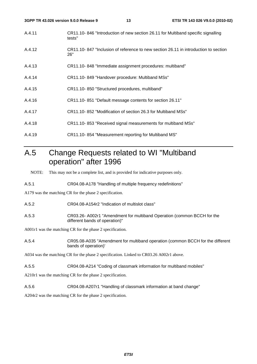- A.4.11 CR11.10- 846 "Introduction of new section 26.11 for Multiband specific signalling tests"
- A.4.12 CR11.10- 847 "Inclusion of reference to new section 26.11 in introduction to section 26"
- A.4.13 CR11.10- 848 "Immediate assignment procedures: multiband"
- A.4.14 CR11.10- 849 "Handover procedure: Multiband MSs"
- A.4.15 CR11.10- 850 "Structured procedures, multiband"
- A.4.16 CR11.10- 851 "Default message contents for section 26.11"
- A.4.17 CR11.10- 852 "Modification of section 26.3 for Multiband MSs"
- A.4.18 CR11.10- 853 "Received signal measurements for multiband MSs"
- A.4.19 CR11.10- 854 "Measurement reporting for Multiband MS"

# A.5 Change Requests related to WI "Multiband operation" after 1996

NOTE: This may not be a complete list, and is provided for indicative purposes only.

A.5.1 CR04.08-A178 "Handling of multiple frequency redefinitions"

A179 was the matching CR for the phase 2 specification.

- A.5.2 CR04.08-A154r2 "Indication of multislot class"
- A.5.3 CR03.26- A002r1 "Amendment for multiband Operation (common BCCH for the different bands of operation)"

A001r1 was the matching CR for the phase 2 specification.

A.5.4 CR05.08-A035 "Amendment for multiband operation (common BCCH for the different bands of operation)'

A034 was the matching CR for the phase 2 specification. Linked to CR03.26 A002r1 above.

A.5.5 CR04.08-A214 "Coding of classmark information for multiband mobiles"

A210r1 was the matching CR for the phase 2 specification.

A.5.6 CR04.08-A207r1 "Handling of classmark information at band change"

A204r2 was the matching CR for the phase 2 specification.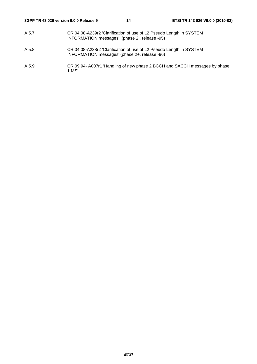- A.5.7 CR 04.08-A239r2 'Clarification of use of L2 Pseudo Length in SYSTEM INFORMATION messages' (phase 2 , release -95)
- A.5.8 CR 04.08-A238r2 'Clarification of use of L2 Pseudo Length in SYSTEM INFORMATION messages' (phase 2+, release -96)
- A.5.9 CR 09.94- A007r1 'Handling of new phase 2 BCCH and SACCH messages by phase 1 MS'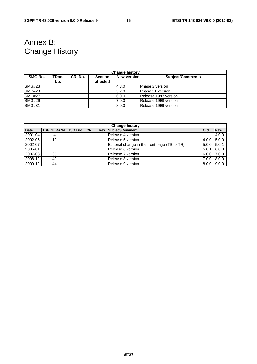# Annex B: Change History

| <b>Change history</b> |              |         |                            |                    |                         |  |  |
|-----------------------|--------------|---------|----------------------------|--------------------|-------------------------|--|--|
| SMG No.               | TDoc.<br>No. | CR. No. | <b>Section</b><br>affected | <b>New version</b> | <b>Subject/Comments</b> |  |  |
| <b>SMG#23</b>         |              |         |                            | 4.3.0              | <b>Phase 2 version</b>  |  |  |
| SMG#23                |              |         |                            | 5.2.0              | Phase 2+ version        |  |  |
| <b>SMG#27</b>         |              |         |                            | 6.0.0              | Release 1997 version    |  |  |
| <b>SMG#29</b>         |              |         |                            | 7.0.0              | Release 1998 version    |  |  |
| <b>SMG#31</b>         |              |         |                            | 8.0.0              | Release 1999 version    |  |  |

| <b>Change history</b> |                               |  |  |  |                                               |              |            |
|-----------------------|-------------------------------|--|--|--|-----------------------------------------------|--------------|------------|
| <b>Date</b>           | <b>TSG GERAN# TSG Doc. CR</b> |  |  |  | <b>Rev Subject/Comment</b>                    | <b>l</b> Old | <b>New</b> |
| 2001-04               |                               |  |  |  | Release 4 version                             |              | 4.0.0      |
| 2002-06               | 10                            |  |  |  | Release 5 version                             | 4.0.0        | 5.0.0      |
| 2002-07               |                               |  |  |  | Editorial change in the front page (TS -> TR) | 5.0.0        | 5.0.1      |
| 2005-01               |                               |  |  |  | Release 6 version                             | 5.0.1        | 6.0.0      |
| 2007-08               | 35                            |  |  |  | Release 7 version                             | 6.0.0        | 7.0.0      |
| 2008-12               | 40                            |  |  |  | Release 8 version                             | 7.0.0        | 8.0.0      |
| 2009-12               | 44                            |  |  |  | Release 9 version                             | 8.0.0        | 9.0.0      |